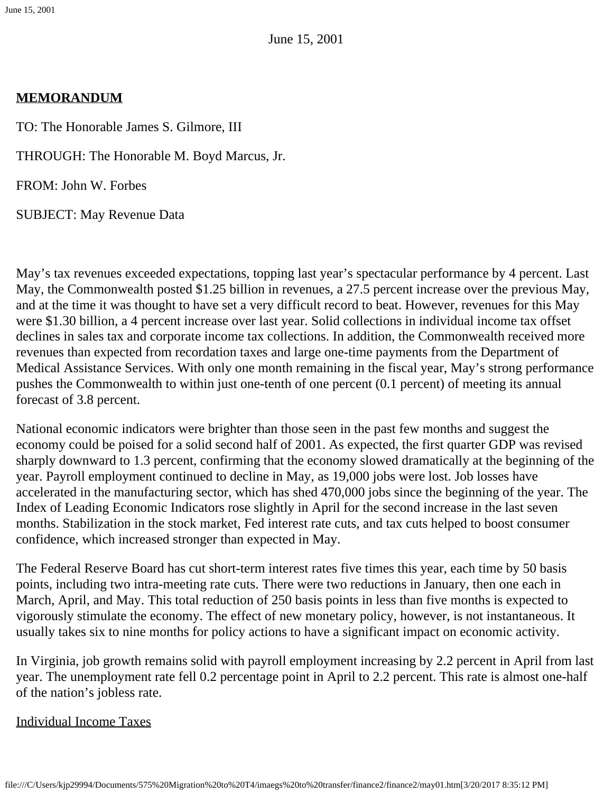June 15, 2001

### **MEMORANDUM**

TO: The Honorable James S. Gilmore, III

THROUGH: The Honorable M. Boyd Marcus, Jr.

FROM: John W. Forbes

SUBJECT: May Revenue Data

May's tax revenues exceeded expectations, topping last year's spectacular performance by 4 percent. Last May, the Commonwealth posted \$1.25 billion in revenues, a 27.5 percent increase over the previous May, and at the time it was thought to have set a very difficult record to beat. However, revenues for this May were \$1.30 billion, a 4 percent increase over last year. Solid collections in individual income tax offset declines in sales tax and corporate income tax collections. In addition, the Commonwealth received more revenues than expected from recordation taxes and large one-time payments from the Department of Medical Assistance Services. With only one month remaining in the fiscal year, May's strong performance pushes the Commonwealth to within just one-tenth of one percent (0.1 percent) of meeting its annual forecast of 3.8 percent.

National economic indicators were brighter than those seen in the past few months and suggest the economy could be poised for a solid second half of 2001. As expected, the first quarter GDP was revised sharply downward to 1.3 percent, confirming that the economy slowed dramatically at the beginning of the year. Payroll employment continued to decline in May, as 19,000 jobs were lost. Job losses have accelerated in the manufacturing sector, which has shed 470,000 jobs since the beginning of the year. The Index of Leading Economic Indicators rose slightly in April for the second increase in the last seven months. Stabilization in the stock market, Fed interest rate cuts, and tax cuts helped to boost consumer confidence, which increased stronger than expected in May.

The Federal Reserve Board has cut short-term interest rates five times this year, each time by 50 basis points, including two intra-meeting rate cuts. There were two reductions in January, then one each in March, April, and May. This total reduction of 250 basis points in less than five months is expected to vigorously stimulate the economy. The effect of new monetary policy, however, is not instantaneous. It usually takes six to nine months for policy actions to have a significant impact on economic activity.

In Virginia, job growth remains solid with payroll employment increasing by 2.2 percent in April from last year. The unemployment rate fell 0.2 percentage point in April to 2.2 percent. This rate is almost one-half of the nation's jobless rate.

## Individual Income Taxes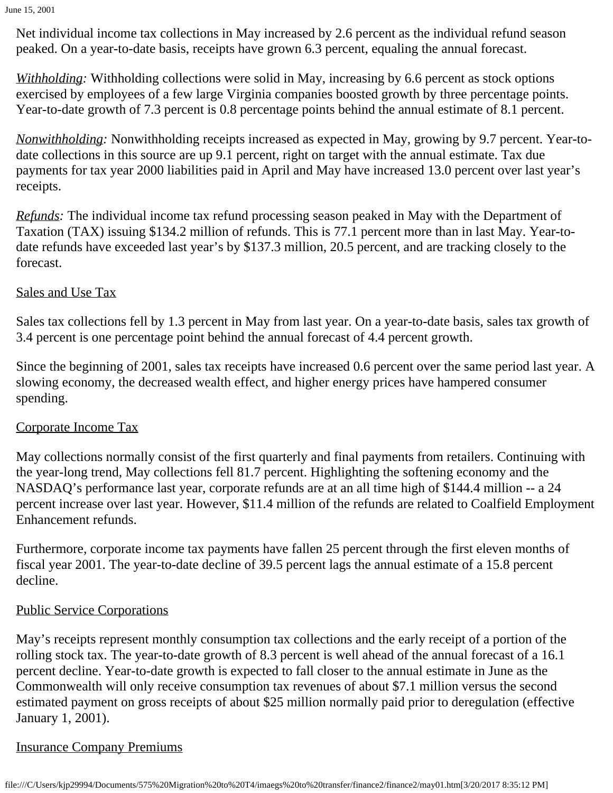Net individual income tax collections in May increased by 2.6 percent as the individual refund season peaked. On a year-to-date basis, receipts have grown 6.3 percent, equaling the annual forecast.

*Withholding:* Withholding collections were solid in May, increasing by 6.6 percent as stock options exercised by employees of a few large Virginia companies boosted growth by three percentage points. Year-to-date growth of 7.3 percent is 0.8 percentage points behind the annual estimate of 8.1 percent.

*Nonwithholding:* Nonwithholding receipts increased as expected in May, growing by 9.7 percent. Year-todate collections in this source are up 9.1 percent, right on target with the annual estimate. Tax due payments for tax year 2000 liabilities paid in April and May have increased 13.0 percent over last year's receipts.

*Refunds:* The individual income tax refund processing season peaked in May with the Department of Taxation (TAX) issuing \$134.2 million of refunds. This is 77.1 percent more than in last May. Year-todate refunds have exceeded last year's by \$137.3 million, 20.5 percent, and are tracking closely to the forecast.

# Sales and Use Tax

Sales tax collections fell by 1.3 percent in May from last year. On a year-to-date basis, sales tax growth of 3.4 percent is one percentage point behind the annual forecast of 4.4 percent growth.

Since the beginning of 2001, sales tax receipts have increased 0.6 percent over the same period last year. A slowing economy, the decreased wealth effect, and higher energy prices have hampered consumer spending.

# Corporate Income Tax

May collections normally consist of the first quarterly and final payments from retailers. Continuing with the year-long trend, May collections fell 81.7 percent. Highlighting the softening economy and the NASDAQ's performance last year, corporate refunds are at an all time high of \$144.4 million -- a 24 percent increase over last year. However, \$11.4 million of the refunds are related to Coalfield Employment Enhancement refunds.

Furthermore, corporate income tax payments have fallen 25 percent through the first eleven months of fiscal year 2001. The year-to-date decline of 39.5 percent lags the annual estimate of a 15.8 percent decline.

# Public Service Corporations

May's receipts represent monthly consumption tax collections and the early receipt of a portion of the rolling stock tax. The year-to-date growth of 8.3 percent is well ahead of the annual forecast of a 16.1 percent decline. Year-to-date growth is expected to fall closer to the annual estimate in June as the Commonwealth will only receive consumption tax revenues of about \$7.1 million versus the second estimated payment on gross receipts of about \$25 million normally paid prior to deregulation (effective January 1, 2001).

# Insurance Company Premiums